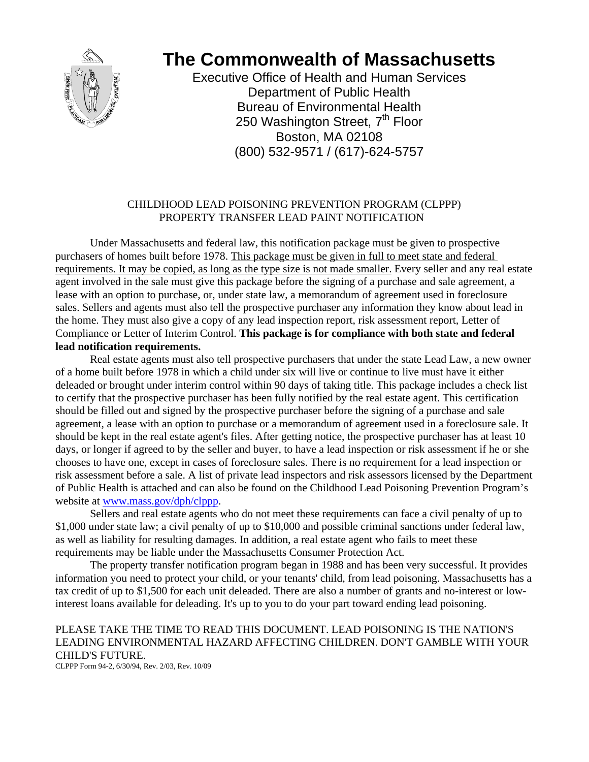

# **The Commonwealth of Massachusetts**

Executive Office of Health and Human Services Department of Public Health Bureau of Environmental Health 250 Washington Street, 7<sup>th</sup> Floor Boston, MA 02108 (800) 532-9571 / (617)-624-5757

## CHILDHOOD LEAD POISONING PREVENTION PROGRAM (CLPPP) PROPERTY TRANSFER LEAD PAINT NOTIFICATION

 Under Massachusetts and federal law, this notification package must be given to prospective purchasers of homes built before 1978. This package must be given in full to meet state and federal requirements. It may be copied, as long as the type size is not made smaller. Every seller and any real estate agent involved in the sale must give this package before the signing of a purchase and sale agreement, a lease with an option to purchase, or, under state law, a memorandum of agreement used in foreclosure sales. Sellers and agents must also tell the prospective purchaser any information they know about lead in the home. They must also give a copy of any lead inspection report, risk assessment report, Letter of Compliance or Letter of Interim Control. **This package is for compliance with both state and federal lead notification requirements.**

 Real estate agents must also tell prospective purchasers that under the state Lead Law, a new owner of a home built before 1978 in which a child under six will live or continue to live must have it either deleaded or brought under interim control within 90 days of taking title. This package includes a check list to certify that the prospective purchaser has been fully notified by the real estate agent. This certification should be filled out and signed by the prospective purchaser before the signing of a purchase and sale agreement, a lease with an option to purchase or a memorandum of agreement used in a foreclosure sale. It should be kept in the real estate agent's files. After getting notice, the prospective purchaser has at least 10 days, or longer if agreed to by the seller and buyer, to have a lead inspection or risk assessment if he or she chooses to have one, except in cases of foreclosure sales. There is no requirement for a lead inspection or risk assessment before a sale. A list of private lead inspectors and risk assessors licensed by the Department of Public Health is attached and can also be found on the Childhood Lead Poisoning Prevention Program's website at www.mass.gov/dph/clppp.

 Sellers and real estate agents who do not meet these requirements can face a civil penalty of up to \$1,000 under state law; a civil penalty of up to \$10,000 and possible criminal sanctions under federal law, as well as liability for resulting damages. In addition, a real estate agent who fails to meet these requirements may be liable under the Massachusetts Consumer Protection Act.

 The property transfer notification program began in 1988 and has been very successful. It provides information you need to protect your child, or your tenants' child, from lead poisoning. Massachusetts has a tax credit of up to \$1,500 for each unit deleaded. There are also a number of grants and no-interest or lowinterest loans available for deleading. It's up to you to do your part toward ending lead poisoning.

## PLEASE TAKE THE TIME TO READ THIS DOCUMENT. LEAD POISONING IS THE NATION'S LEADING ENVIRONMENTAL HAZARD AFFECTING CHILDREN. DON'T GAMBLE WITH YOUR CHILD'S FUTURE.

CLPPP Form 94-2, 6/30/94, Rev. 2/03, Rev. 10/09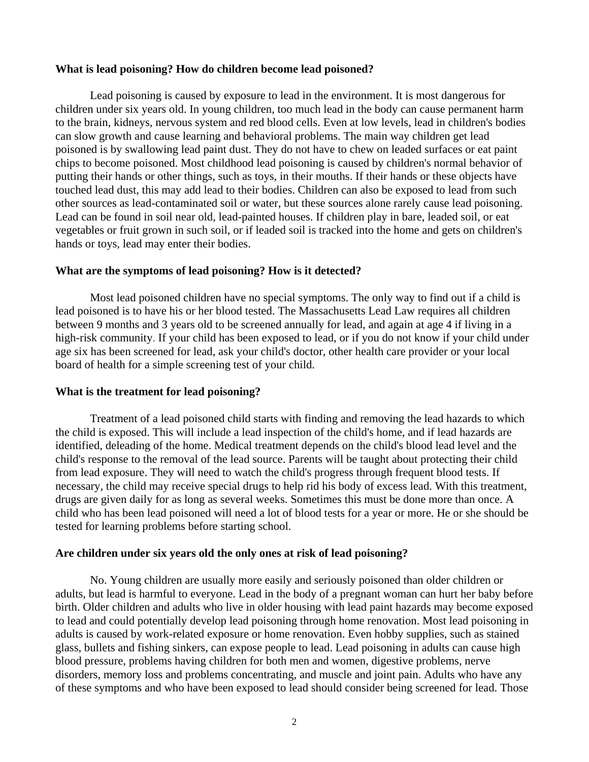#### **What is lead poisoning? How do children become lead poisoned?**

 Lead poisoning is caused by exposure to lead in the environment. It is most dangerous for children under six years old. In young children, too much lead in the body can cause permanent harm to the brain, kidneys, nervous system and red blood cells. Even at low levels, lead in children's bodies can slow growth and cause learning and behavioral problems. The main way children get lead poisoned is by swallowing lead paint dust. They do not have to chew on leaded surfaces or eat paint chips to become poisoned. Most childhood lead poisoning is caused by children's normal behavior of putting their hands or other things, such as toys, in their mouths. If their hands or these objects have touched lead dust, this may add lead to their bodies. Children can also be exposed to lead from such other sources as lead-contaminated soil or water, but these sources alone rarely cause lead poisoning. Lead can be found in soil near old, lead-painted houses. If children play in bare, leaded soil, or eat vegetables or fruit grown in such soil, or if leaded soil is tracked into the home and gets on children's hands or toys, lead may enter their bodies.

## **What are the symptoms of lead poisoning? How is it detected?**

 Most lead poisoned children have no special symptoms. The only way to find out if a child is lead poisoned is to have his or her blood tested. The Massachusetts Lead Law requires all children between 9 months and 3 years old to be screened annually for lead, and again at age 4 if living in a high-risk community. If your child has been exposed to lead, or if you do not know if your child under age six has been screened for lead, ask your child's doctor, other health care provider or your local board of health for a simple screening test of your child.

## **What is the treatment for lead poisoning?**

 Treatment of a lead poisoned child starts with finding and removing the lead hazards to which the child is exposed. This will include a lead inspection of the child's home, and if lead hazards are identified, deleading of the home. Medical treatment depends on the child's blood lead level and the child's response to the removal of the lead source. Parents will be taught about protecting their child from lead exposure. They will need to watch the child's progress through frequent blood tests. If necessary, the child may receive special drugs to help rid his body of excess lead. With this treatment, drugs are given daily for as long as several weeks. Sometimes this must be done more than once. A child who has been lead poisoned will need a lot of blood tests for a year or more. He or she should be tested for learning problems before starting school.

## **Are children under six years old the only ones at risk of lead poisoning?**

 No. Young children are usually more easily and seriously poisoned than older children or adults, but lead is harmful to everyone. Lead in the body of a pregnant woman can hurt her baby before birth. Older children and adults who live in older housing with lead paint hazards may become exposed to lead and could potentially develop lead poisoning through home renovation. Most lead poisoning in adults is caused by work-related exposure or home renovation. Even hobby supplies, such as stained glass, bullets and fishing sinkers, can expose people to lead. Lead poisoning in adults can cause high blood pressure, problems having children for both men and women, digestive problems, nerve disorders, memory loss and problems concentrating, and muscle and joint pain. Adults who have any of these symptoms and who have been exposed to lead should consider being screened for lead. Those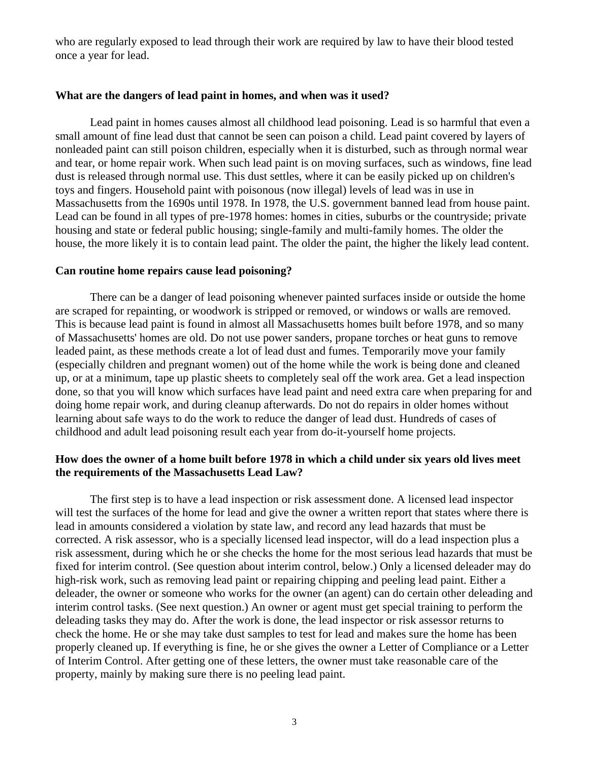who are regularly exposed to lead through their work are required by law to have their blood tested once a year for lead.

#### **What are the dangers of lead paint in homes, and when was it used?**

 Lead paint in homes causes almost all childhood lead poisoning. Lead is so harmful that even a small amount of fine lead dust that cannot be seen can poison a child. Lead paint covered by layers of nonleaded paint can still poison children, especially when it is disturbed, such as through normal wear and tear, or home repair work. When such lead paint is on moving surfaces, such as windows, fine lead dust is released through normal use. This dust settles, where it can be easily picked up on children's toys and fingers. Household paint with poisonous (now illegal) levels of lead was in use in Massachusetts from the 1690s until 1978. In 1978, the U.S. government banned lead from house paint. Lead can be found in all types of pre-1978 homes: homes in cities, suburbs or the countryside; private housing and state or federal public housing; single-family and multi-family homes. The older the house, the more likely it is to contain lead paint. The older the paint, the higher the likely lead content.

## **Can routine home repairs cause lead poisoning?**

 There can be a danger of lead poisoning whenever painted surfaces inside or outside the home are scraped for repainting, or woodwork is stripped or removed, or windows or walls are removed. This is because lead paint is found in almost all Massachusetts homes built before 1978, and so many of Massachusetts' homes are old. Do not use power sanders, propane torches or heat guns to remove leaded paint, as these methods create a lot of lead dust and fumes. Temporarily move your family (especially children and pregnant women) out of the home while the work is being done and cleaned up, or at a minimum, tape up plastic sheets to completely seal off the work area. Get a lead inspection done, so that you will know which surfaces have lead paint and need extra care when preparing for and doing home repair work, and during cleanup afterwards. Do not do repairs in older homes without learning about safe ways to do the work to reduce the danger of lead dust. Hundreds of cases of childhood and adult lead poisoning result each year from do-it-yourself home projects.

## **How does the owner of a home built before 1978 in which a child under six years old lives meet the requirements of the Massachusetts Lead Law?**

 The first step is to have a lead inspection or risk assessment done. A licensed lead inspector will test the surfaces of the home for lead and give the owner a written report that states where there is lead in amounts considered a violation by state law, and record any lead hazards that must be corrected. A risk assessor, who is a specially licensed lead inspector, will do a lead inspection plus a risk assessment, during which he or she checks the home for the most serious lead hazards that must be fixed for interim control. (See question about interim control, below.) Only a licensed deleader may do high-risk work, such as removing lead paint or repairing chipping and peeling lead paint. Either a deleader, the owner or someone who works for the owner (an agent) can do certain other deleading and interim control tasks. (See next question.) An owner or agent must get special training to perform the deleading tasks they may do. After the work is done, the lead inspector or risk assessor returns to check the home. He or she may take dust samples to test for lead and makes sure the home has been properly cleaned up. If everything is fine, he or she gives the owner a Letter of Compliance or a Letter of Interim Control. After getting one of these letters, the owner must take reasonable care of the property, mainly by making sure there is no peeling lead paint.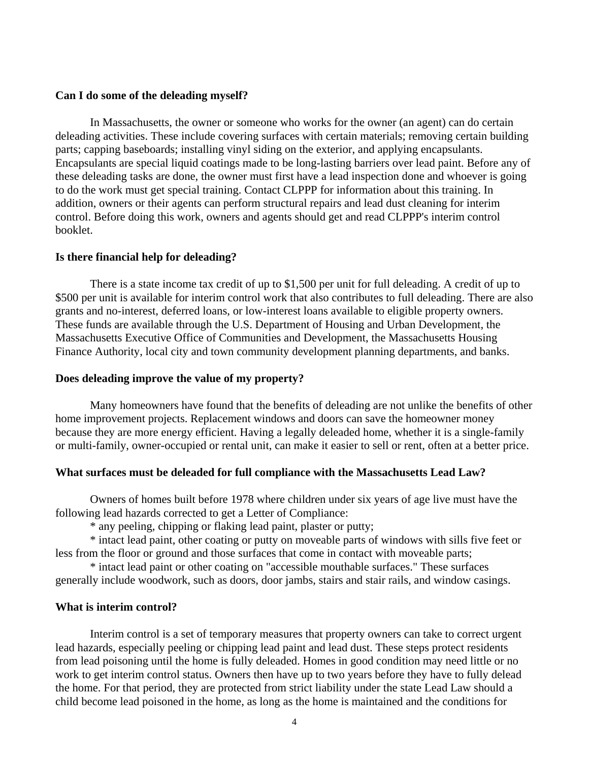#### **Can I do some of the deleading myself?**

 In Massachusetts, the owner or someone who works for the owner (an agent) can do certain deleading activities. These include covering surfaces with certain materials; removing certain building parts; capping baseboards; installing vinyl siding on the exterior, and applying encapsulants. Encapsulants are special liquid coatings made to be long-lasting barriers over lead paint. Before any of these deleading tasks are done, the owner must first have a lead inspection done and whoever is going to do the work must get special training. Contact CLPPP for information about this training. In addition, owners or their agents can perform structural repairs and lead dust cleaning for interim control. Before doing this work, owners and agents should get and read CLPPP's interim control booklet.

#### **Is there financial help for deleading?**

There is a state income tax credit of up to \$1,500 per unit for full deleading. A credit of up to \$500 per unit is available for interim control work that also contributes to full deleading. There are also grants and no-interest, deferred loans, or low-interest loans available to eligible property owners. These funds are available through the U.S. Department of Housing and Urban Development, the Massachusetts Executive Office of Communities and Development, the Massachusetts Housing Finance Authority, local city and town community development planning departments, and banks.

## **Does deleading improve the value of my property?**

 Many homeowners have found that the benefits of deleading are not unlike the benefits of other home improvement projects. Replacement windows and doors can save the homeowner money because they are more energy efficient. Having a legally deleaded home, whether it is a single-family or multi-family, owner-occupied or rental unit, can make it easier to sell or rent, often at a better price.

#### **What surfaces must be deleaded for full compliance with the Massachusetts Lead Law?**

 Owners of homes built before 1978 where children under six years of age live must have the following lead hazards corrected to get a Letter of Compliance:

\* any peeling, chipping or flaking lead paint, plaster or putty;

 \* intact lead paint, other coating or putty on moveable parts of windows with sills five feet or less from the floor or ground and those surfaces that come in contact with moveable parts;

 \* intact lead paint or other coating on "accessible mouthable surfaces." These surfaces generally include woodwork, such as doors, door jambs, stairs and stair rails, and window casings.

#### **What is interim control?**

Interim control is a set of temporary measures that property owners can take to correct urgent lead hazards, especially peeling or chipping lead paint and lead dust. These steps protect residents from lead poisoning until the home is fully deleaded. Homes in good condition may need little or no work to get interim control status. Owners then have up to two years before they have to fully delead the home. For that period, they are protected from strict liability under the state Lead Law should a child become lead poisoned in the home, as long as the home is maintained and the conditions for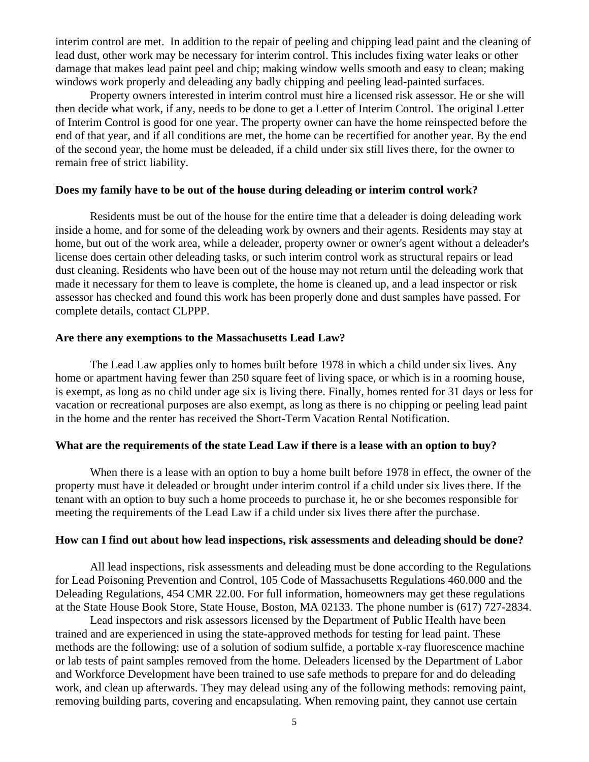interim control are met. In addition to the repair of peeling and chipping lead paint and the cleaning of lead dust, other work may be necessary for interim control. This includes fixing water leaks or other damage that makes lead paint peel and chip; making window wells smooth and easy to clean; making windows work properly and deleading any badly chipping and peeling lead-painted surfaces.

 Property owners interested in interim control must hire a licensed risk assessor. He or she will then decide what work, if any, needs to be done to get a Letter of Interim Control. The original Letter of Interim Control is good for one year. The property owner can have the home reinspected before the end of that year, and if all conditions are met, the home can be recertified for another year. By the end of the second year, the home must be deleaded, if a child under six still lives there, for the owner to remain free of strict liability.

#### **Does my family have to be out of the house during deleading or interim control work?**

 Residents must be out of the house for the entire time that a deleader is doing deleading work inside a home, and for some of the deleading work by owners and their agents. Residents may stay at home, but out of the work area, while a deleader, property owner or owner's agent without a deleader's license does certain other deleading tasks, or such interim control work as structural repairs or lead dust cleaning. Residents who have been out of the house may not return until the deleading work that made it necessary for them to leave is complete, the home is cleaned up, and a lead inspector or risk assessor has checked and found this work has been properly done and dust samples have passed. For complete details, contact CLPPP.

#### **Are there any exemptions to the Massachusetts Lead Law?**

 The Lead Law applies only to homes built before 1978 in which a child under six lives. Any home or apartment having fewer than 250 square feet of living space, or which is in a rooming house, is exempt, as long as no child under age six is living there. Finally, homes rented for 31 days or less for vacation or recreational purposes are also exempt, as long as there is no chipping or peeling lead paint in the home and the renter has received the Short-Term Vacation Rental Notification.

## **What are the requirements of the state Lead Law if there is a lease with an option to buy?**

 When there is a lease with an option to buy a home built before 1978 in effect, the owner of the property must have it deleaded or brought under interim control if a child under six lives there. If the tenant with an option to buy such a home proceeds to purchase it, he or she becomes responsible for meeting the requirements of the Lead Law if a child under six lives there after the purchase.

## **How can I find out about how lead inspections, risk assessments and deleading should be done?**

All lead inspections, risk assessments and deleading must be done according to the Regulations for Lead Poisoning Prevention and Control, 105 Code of Massachusetts Regulations 460.000 and the Deleading Regulations, 454 CMR 22.00. For full information, homeowners may get these regulations at the State House Book Store, State House, Boston, MA 02133. The phone number is (617) 727-2834.

 Lead inspectors and risk assessors licensed by the Department of Public Health have been trained and are experienced in using the state-approved methods for testing for lead paint. These methods are the following: use of a solution of sodium sulfide, a portable x-ray fluorescence machine or lab tests of paint samples removed from the home. Deleaders licensed by the Department of Labor and Workforce Development have been trained to use safe methods to prepare for and do deleading work, and clean up afterwards. They may delead using any of the following methods: removing paint, removing building parts, covering and encapsulating. When removing paint, they cannot use certain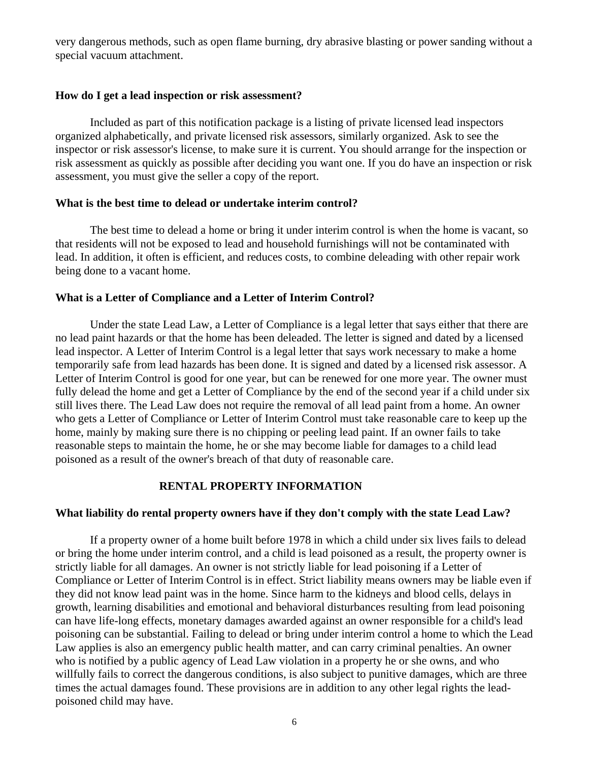very dangerous methods, such as open flame burning, dry abrasive blasting or power sanding without a special vacuum attachment.

## **How do I get a lead inspection or risk assessment?**

 Included as part of this notification package is a listing of private licensed lead inspectors organized alphabetically, and private licensed risk assessors, similarly organized. Ask to see the inspector or risk assessor's license, to make sure it is current. You should arrange for the inspection or risk assessment as quickly as possible after deciding you want one. If you do have an inspection or risk assessment, you must give the seller a copy of the report.

## **What is the best time to delead or undertake interim control?**

 The best time to delead a home or bring it under interim control is when the home is vacant, so that residents will not be exposed to lead and household furnishings will not be contaminated with lead. In addition, it often is efficient, and reduces costs, to combine deleading with other repair work being done to a vacant home.

## **What is a Letter of Compliance and a Letter of Interim Control?**

Under the state Lead Law, a Letter of Compliance is a legal letter that says either that there are no lead paint hazards or that the home has been deleaded. The letter is signed and dated by a licensed lead inspector. A Letter of Interim Control is a legal letter that says work necessary to make a home temporarily safe from lead hazards has been done. It is signed and dated by a licensed risk assessor. A Letter of Interim Control is good for one year, but can be renewed for one more year. The owner must fully delead the home and get a Letter of Compliance by the end of the second year if a child under six still lives there. The Lead Law does not require the removal of all lead paint from a home. An owner who gets a Letter of Compliance or Letter of Interim Control must take reasonable care to keep up the home, mainly by making sure there is no chipping or peeling lead paint. If an owner fails to take reasonable steps to maintain the home, he or she may become liable for damages to a child lead poisoned as a result of the owner's breach of that duty of reasonable care.

## **RENTAL PROPERTY INFORMATION**

## **What liability do rental property owners have if they don't comply with the state Lead Law?**

 If a property owner of a home built before 1978 in which a child under six lives fails to delead or bring the home under interim control, and a child is lead poisoned as a result, the property owner is strictly liable for all damages. An owner is not strictly liable for lead poisoning if a Letter of Compliance or Letter of Interim Control is in effect. Strict liability means owners may be liable even if they did not know lead paint was in the home. Since harm to the kidneys and blood cells, delays in growth, learning disabilities and emotional and behavioral disturbances resulting from lead poisoning can have life-long effects, monetary damages awarded against an owner responsible for a child's lead poisoning can be substantial. Failing to delead or bring under interim control a home to which the Lead Law applies is also an emergency public health matter, and can carry criminal penalties. An owner who is notified by a public agency of Lead Law violation in a property he or she owns, and who willfully fails to correct the dangerous conditions, is also subject to punitive damages, which are three times the actual damages found. These provisions are in addition to any other legal rights the leadpoisoned child may have.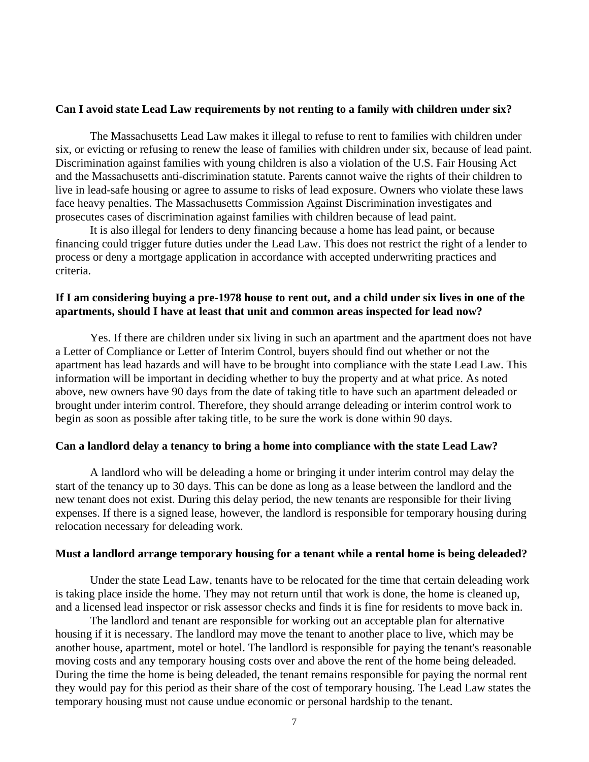#### **Can I avoid state Lead Law requirements by not renting to a family with children under six?**

The Massachusetts Lead Law makes it illegal to refuse to rent to families with children under six, or evicting or refusing to renew the lease of families with children under six, because of lead paint. Discrimination against families with young children is also a violation of the U.S. Fair Housing Act and the Massachusetts anti-discrimination statute. Parents cannot waive the rights of their children to live in lead-safe housing or agree to assume to risks of lead exposure. Owners who violate these laws face heavy penalties. The Massachusetts Commission Against Discrimination investigates and prosecutes cases of discrimination against families with children because of lead paint.

 It is also illegal for lenders to deny financing because a home has lead paint, or because financing could trigger future duties under the Lead Law. This does not restrict the right of a lender to process or deny a mortgage application in accordance with accepted underwriting practices and criteria.

## **If I am considering buying a pre-1978 house to rent out, and a child under six lives in one of the apartments, should I have at least that unit and common areas inspected for lead now?**

 Yes. If there are children under six living in such an apartment and the apartment does not have a Letter of Compliance or Letter of Interim Control, buyers should find out whether or not the apartment has lead hazards and will have to be brought into compliance with the state Lead Law. This information will be important in deciding whether to buy the property and at what price. As noted above, new owners have 90 days from the date of taking title to have such an apartment deleaded or brought under interim control. Therefore, they should arrange deleading or interim control work to begin as soon as possible after taking title, to be sure the work is done within 90 days.

#### **Can a landlord delay a tenancy to bring a home into compliance with the state Lead Law?**

 A landlord who will be deleading a home or bringing it under interim control may delay the start of the tenancy up to 30 days. This can be done as long as a lease between the landlord and the new tenant does not exist. During this delay period, the new tenants are responsible for their living expenses. If there is a signed lease, however, the landlord is responsible for temporary housing during relocation necessary for deleading work.

#### **Must a landlord arrange temporary housing for a tenant while a rental home is being deleaded?**

 Under the state Lead Law, tenants have to be relocated for the time that certain deleading work is taking place inside the home. They may not return until that work is done, the home is cleaned up, and a licensed lead inspector or risk assessor checks and finds it is fine for residents to move back in.

 The landlord and tenant are responsible for working out an acceptable plan for alternative housing if it is necessary. The landlord may move the tenant to another place to live, which may be another house, apartment, motel or hotel. The landlord is responsible for paying the tenant's reasonable moving costs and any temporary housing costs over and above the rent of the home being deleaded. During the time the home is being deleaded, the tenant remains responsible for paying the normal rent they would pay for this period as their share of the cost of temporary housing. The Lead Law states the temporary housing must not cause undue economic or personal hardship to the tenant.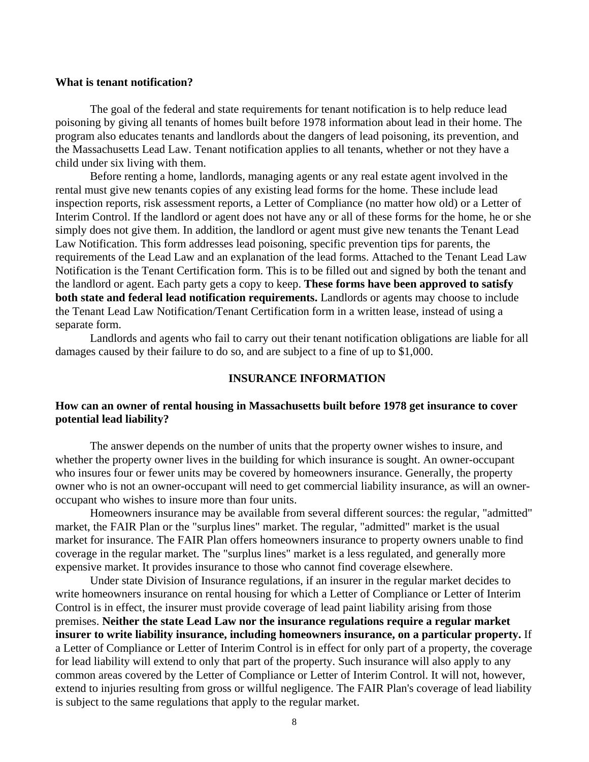#### **What is tenant notification?**

 The goal of the federal and state requirements for tenant notification is to help reduce lead poisoning by giving all tenants of homes built before 1978 information about lead in their home. The program also educates tenants and landlords about the dangers of lead poisoning, its prevention, and the Massachusetts Lead Law. Tenant notification applies to all tenants, whether or not they have a child under six living with them.

 Before renting a home, landlords, managing agents or any real estate agent involved in the rental must give new tenants copies of any existing lead forms for the home. These include lead inspection reports, risk assessment reports, a Letter of Compliance (no matter how old) or a Letter of Interim Control. If the landlord or agent does not have any or all of these forms for the home, he or she simply does not give them. In addition, the landlord or agent must give new tenants the Tenant Lead Law Notification. This form addresses lead poisoning, specific prevention tips for parents, the requirements of the Lead Law and an explanation of the lead forms. Attached to the Tenant Lead Law Notification is the Tenant Certification form. This is to be filled out and signed by both the tenant and the landlord or agent. Each party gets a copy to keep. **These forms have been approved to satisfy both state and federal lead notification requirements.** Landlords or agents may choose to include the Tenant Lead Law Notification/Tenant Certification form in a written lease, instead of using a separate form.

 Landlords and agents who fail to carry out their tenant notification obligations are liable for all damages caused by their failure to do so, and are subject to a fine of up to \$1,000.

#### **INSURANCE INFORMATION**

#### **How can an owner of rental housing in Massachusetts built before 1978 get insurance to cover potential lead liability?**

The answer depends on the number of units that the property owner wishes to insure, and whether the property owner lives in the building for which insurance is sought. An owner-occupant who insures four or fewer units may be covered by homeowners insurance. Generally, the property owner who is not an owner-occupant will need to get commercial liability insurance, as will an owneroccupant who wishes to insure more than four units.

 Homeowners insurance may be available from several different sources: the regular, "admitted" market, the FAIR Plan or the "surplus lines" market. The regular, "admitted" market is the usual market for insurance. The FAIR Plan offers homeowners insurance to property owners unable to find coverage in the regular market. The "surplus lines" market is a less regulated, and generally more expensive market. It provides insurance to those who cannot find coverage elsewhere.

 Under state Division of Insurance regulations, if an insurer in the regular market decides to write homeowners insurance on rental housing for which a Letter of Compliance or Letter of Interim Control is in effect, the insurer must provide coverage of lead paint liability arising from those premises. **Neither the state Lead Law nor the insurance regulations require a regular market insurer to write liability insurance, including homeowners insurance, on a particular property.** If a Letter of Compliance or Letter of Interim Control is in effect for only part of a property, the coverage for lead liability will extend to only that part of the property. Such insurance will also apply to any common areas covered by the Letter of Compliance or Letter of Interim Control. It will not, however, extend to injuries resulting from gross or willful negligence. The FAIR Plan's coverage of lead liability is subject to the same regulations that apply to the regular market.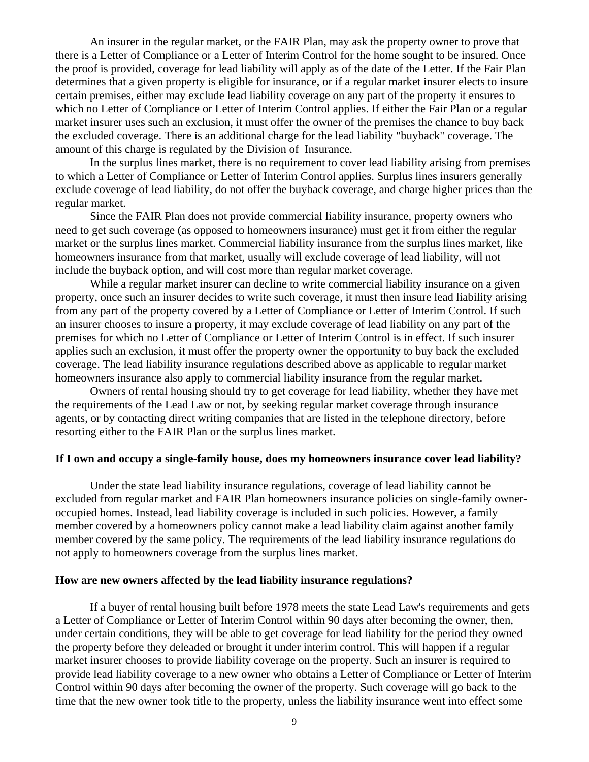An insurer in the regular market, or the FAIR Plan, may ask the property owner to prove that there is a Letter of Compliance or a Letter of Interim Control for the home sought to be insured. Once the proof is provided, coverage for lead liability will apply as of the date of the Letter. If the Fair Plan determines that a given property is eligible for insurance, or if a regular market insurer elects to insure certain premises, either may exclude lead liability coverage on any part of the property it ensures to which no Letter of Compliance or Letter of Interim Control applies. If either the Fair Plan or a regular market insurer uses such an exclusion, it must offer the owner of the premises the chance to buy back the excluded coverage. There is an additional charge for the lead liability "buyback" coverage. The amount of this charge is regulated by the Division of Insurance.

 In the surplus lines market, there is no requirement to cover lead liability arising from premises to which a Letter of Compliance or Letter of Interim Control applies. Surplus lines insurers generally exclude coverage of lead liability, do not offer the buyback coverage, and charge higher prices than the regular market.

 Since the FAIR Plan does not provide commercial liability insurance, property owners who need to get such coverage (as opposed to homeowners insurance) must get it from either the regular market or the surplus lines market. Commercial liability insurance from the surplus lines market, like homeowners insurance from that market, usually will exclude coverage of lead liability, will not include the buyback option, and will cost more than regular market coverage.

 While a regular market insurer can decline to write commercial liability insurance on a given property, once such an insurer decides to write such coverage, it must then insure lead liability arising from any part of the property covered by a Letter of Compliance or Letter of Interim Control. If such an insurer chooses to insure a property, it may exclude coverage of lead liability on any part of the premises for which no Letter of Compliance or Letter of Interim Control is in effect. If such insurer applies such an exclusion, it must offer the property owner the opportunity to buy back the excluded coverage. The lead liability insurance regulations described above as applicable to regular market homeowners insurance also apply to commercial liability insurance from the regular market.

 Owners of rental housing should try to get coverage for lead liability, whether they have met the requirements of the Lead Law or not, by seeking regular market coverage through insurance agents, or by contacting direct writing companies that are listed in the telephone directory, before resorting either to the FAIR Plan or the surplus lines market.

## **If I own and occupy a single-family house, does my homeowners insurance cover lead liability?**

Under the state lead liability insurance regulations, coverage of lead liability cannot be excluded from regular market and FAIR Plan homeowners insurance policies on single-family owneroccupied homes. Instead, lead liability coverage is included in such policies. However, a family member covered by a homeowners policy cannot make a lead liability claim against another family member covered by the same policy. The requirements of the lead liability insurance regulations do not apply to homeowners coverage from the surplus lines market.

#### **How are new owners affected by the lead liability insurance regulations?**

 If a buyer of rental housing built before 1978 meets the state Lead Law's requirements and gets a Letter of Compliance or Letter of Interim Control within 90 days after becoming the owner, then, under certain conditions, they will be able to get coverage for lead liability for the period they owned the property before they deleaded or brought it under interim control. This will happen if a regular market insurer chooses to provide liability coverage on the property. Such an insurer is required to provide lead liability coverage to a new owner who obtains a Letter of Compliance or Letter of Interim Control within 90 days after becoming the owner of the property. Such coverage will go back to the time that the new owner took title to the property, unless the liability insurance went into effect some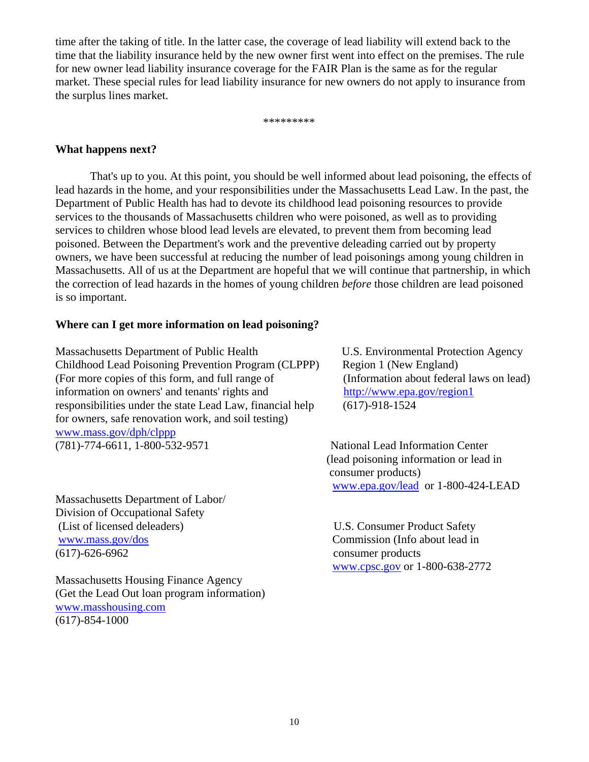time after the taking of title. In the latter case, the coverage of lead liability will extend back to the time that the liability insurance held by the new owner first went into effect on the premises. The rule for new owner lead liability insurance coverage for the FAIR Plan is the same as for the regular market. These special rules for lead liability insurance for new owners do not apply to insurance from the surplus lines market.

\*\*\*\*\*\*\*\*\*

## **What happens next?**

That's up to you. At this point, you should be well informed about lead poisoning, the effects of lead hazards in the home, and your responsibilities under the Massachusetts Lead Law. In the past, the Department of Public Health has had to devote its childhood lead poisoning resources to provide services to the thousands of Massachusetts children who were poisoned, as well as to providing services to children whose blood lead levels are elevated, to prevent them from becoming lead poisoned. Between the Department's work and the preventive deleading carried out by property owners, we have been successful at reducing the number of lead poisonings among young children in Massachusetts. All of us at the Department are hopeful that we will continue that partnership, in which the correction of lead hazards in the homes of young children *before* those children are lead poisoned is so important.

## **Where can I get more information on lead poisoning?**

Massachusetts Department of Public Health U.S. Environmental Protection Agency Childhood Lead Poisoning Prevention Program (CLPPP) Region 1 (New England) (For more copies of this form, and full range of (Information about federal laws on lead) information on owners' and tenants' rights and http://www.epa.gov/region1 responsibilities under the state Lead Law, financial help (617)-918-1524 for owners, safe renovation work, and soil testing) www.mass.gov/dph/clppp (781)-774-6611, 1-800-532-9571 National Lead Information Center

Massachusetts Department of Labor/ Division of Occupational Safety (List of licensed deleaders) U.S. Consumer Product Safety www.mass.gov/dos Commission (Info about lead in (617)-626-6962 consumer products

Massachusetts Housing Finance Agency (Get the Lead Out loan program information) www.masshousing.com (617)-854-1000

 (lead poisoning information or lead in consumer products) www.epa.gov/lead or 1-800-424-LEAD

www.cpsc.gov or 1-800-638-2772